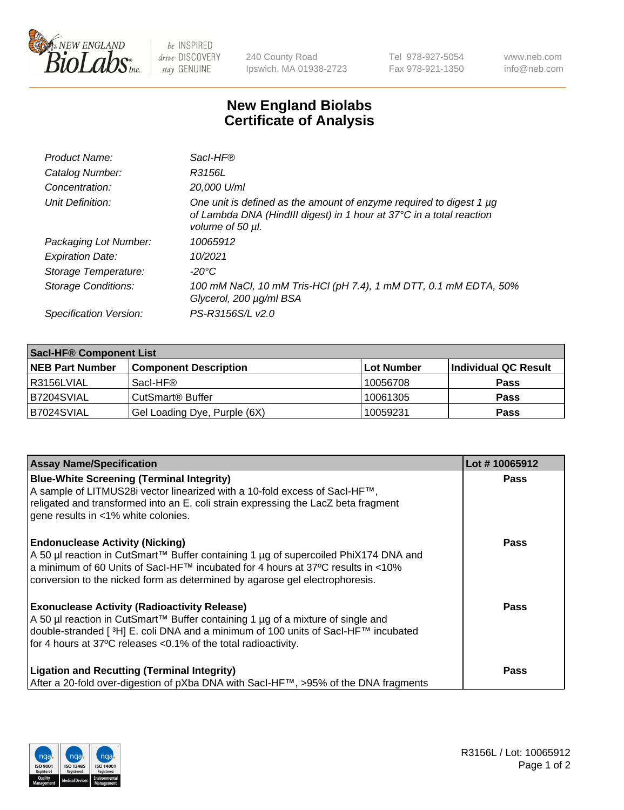

 $be$  INSPIRED drive DISCOVERY stay GENUINE

240 County Road Ipswich, MA 01938-2723 Tel 978-927-5054 Fax 978-921-1350 www.neb.com info@neb.com

## **New England Biolabs Certificate of Analysis**

| Product Name:              | Sacl-HF®                                                                                                                                                        |
|----------------------------|-----------------------------------------------------------------------------------------------------------------------------------------------------------------|
| Catalog Number:            | R3156L                                                                                                                                                          |
| Concentration:             | 20,000 U/ml                                                                                                                                                     |
| Unit Definition:           | One unit is defined as the amount of enzyme required to digest 1 µg<br>of Lambda DNA (HindIII digest) in 1 hour at 37°C in a total reaction<br>volume of 50 µl. |
| Packaging Lot Number:      | 10065912                                                                                                                                                        |
| <b>Expiration Date:</b>    | 10/2021                                                                                                                                                         |
| Storage Temperature:       | -20°C                                                                                                                                                           |
| <b>Storage Conditions:</b> | 100 mM NaCl, 10 mM Tris-HCl (pH 7.4), 1 mM DTT, 0.1 mM EDTA, 50%<br>Glycerol, 200 µg/ml BSA                                                                     |
| Specification Version:     | PS-R3156S/L v2.0                                                                                                                                                |

| <b>Saci-HF® Component List</b> |                              |            |                      |  |  |
|--------------------------------|------------------------------|------------|----------------------|--|--|
| <b>NEB Part Number</b>         | <b>Component Description</b> | Lot Number | Individual QC Result |  |  |
| l R3156LVIAL                   | Sacl-HF®                     | 10056708   | <b>Pass</b>          |  |  |
| B7204SVIAL                     | CutSmart <sup>®</sup> Buffer | 10061305   | <b>Pass</b>          |  |  |
| IB7024SVIAL                    | Gel Loading Dye, Purple (6X) | 10059231   | <b>Pass</b>          |  |  |

| <b>Assay Name/Specification</b>                                                                                                                                                                                                                                                                             | Lot #10065912 |
|-------------------------------------------------------------------------------------------------------------------------------------------------------------------------------------------------------------------------------------------------------------------------------------------------------------|---------------|
| <b>Blue-White Screening (Terminal Integrity)</b><br>A sample of LITMUS28i vector linearized with a 10-fold excess of SacI-HF™,<br>religated and transformed into an E. coli strain expressing the LacZ beta fragment<br>gene results in <1% white colonies.                                                 | <b>Pass</b>   |
| <b>Endonuclease Activity (Nicking)</b><br>A 50 µl reaction in CutSmart™ Buffer containing 1 µg of supercoiled PhiX174 DNA and<br>a minimum of 60 Units of Sacl-HF™ incubated for 4 hours at 37°C results in <10%<br>conversion to the nicked form as determined by agarose gel electrophoresis.             | <b>Pass</b>   |
| <b>Exonuclease Activity (Radioactivity Release)</b><br>A 50 µl reaction in CutSmart™ Buffer containing 1 µg of a mixture of single and<br>double-stranded [ <sup>3</sup> H] E. coli DNA and a minimum of 100 units of Sacl-HF™ incubated<br>for 4 hours at 37°C releases < 0.1% of the total radioactivity. | <b>Pass</b>   |
| <b>Ligation and Recutting (Terminal Integrity)</b><br>After a 20-fold over-digestion of pXba DNA with Sacl-HF™, >95% of the DNA fragments                                                                                                                                                                   | Pass          |